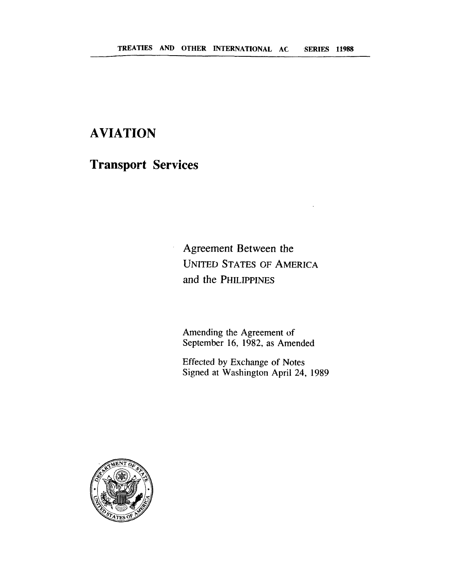# **AVIATION**

**Transport Services** 

Agreement Between the **UNITED STATES** OF **AMERICA and the PHILIPPINES** 

Amending the Agreement of September 16, 1982, as Amended

Effected by Exchange of Notes Signed at Washington April 24, 1989

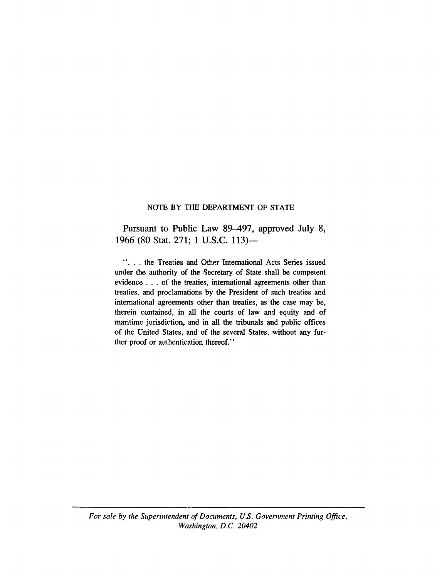#### NOTE BY THE DEPARTMENT OF STATE

Pursuant to Public Law 89–497, approved July 8, 1966 (80 Stat. 271; **1** U.S.C. 113)-

". . . the Treaties and Other International Acts Series issued under the authority of the Secretary of State shall be competent evidence . . . of the treaties, international agreements other than treaties, and proclamations by the President of such treaties and international agreements other than treaties, as the case may be, therein contained, in all the courts of law and equity and of maritime jurisdiction, and in all the tribunals and public offices of the United States, and of the several States, without any further proof or authentication thereof."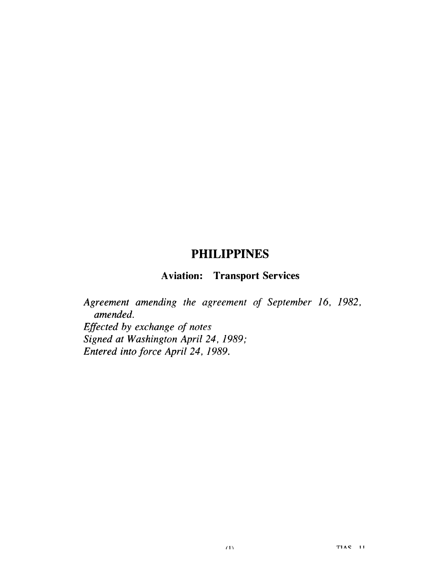### **PHILIPPINES**

## **Aviation: Transport Services**

*Agreement amending the agreement of September 16, 1982, amended. Eflected by exchange of notes Signed at Washington April 24, 1989; Entered into force April 24, 1989.*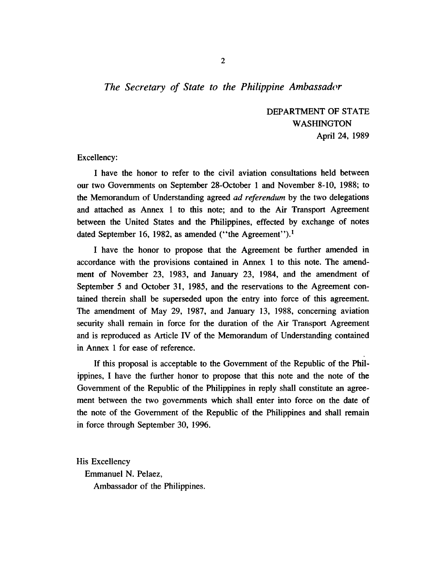### *The Secretary of State to the Philippine Ambassador*

DEPARTMENT OF STATE WASHINGTON April 24, 1989

Excellency:

I have the honor to refer to the civil aviation consultations held between our two Governments on September 28-October 1 and November 8-10, 1988; to the Memorandum of Understanding agreed *ad referendum* by the two delegations and attached as Annex 1 to this note; and to the Air Transport Agreement between the United States and the Philippines, effected by exchange of notes dated September 16, 1982, as amended ("the Agreement").<sup>1</sup>

I have the honor to propose that the Agreement be further amended in accordance with the provisions contained in Annex 1 to this note. The amendment of November 23, 1983, and January 23, 1984, and the amendment of September 5 and October 31, 1985, and the reservations to the Agreement contained therein shall be superseded upon the 'entry into force of this agreement. The amendment of May 29, 1987, and January 13, 1988, concerning aviation security shali remain in force for the duration of the Air Transport Agreement and is reproduced as Article IV of the Memorandum of Understanding contained in Annex 1 for ease of reference.

If this proposal is acceptable to the Government of the Republic of the Philippines, I have the further honor to propose that this note and the note of the Government of the Republic of the Philippines in reply shall constitute an agreement between the two governments which shall enter into force on the date of the note of the Government of the Republic of the Philippines and shall remain in force through September 30, 1996.

His Excellency Emmanuel N. Pelaez, Ambassador of the Philippines.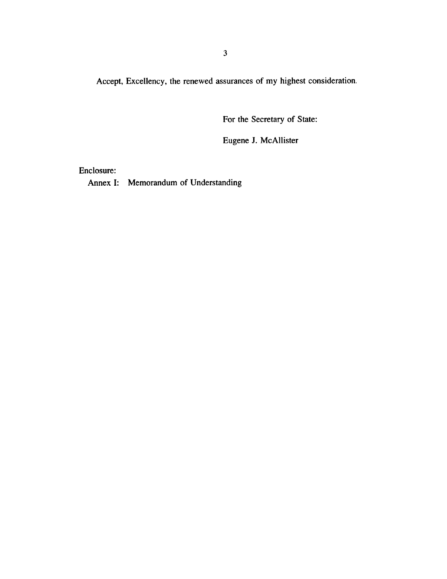**Accept, Excellency, the renewed assurances of my highest consideration.** 

**For the Secretary of State:** 

**Eugene J. McAllister** 

**Enclosure:** 

**Annex I: Memorandum of Understanding**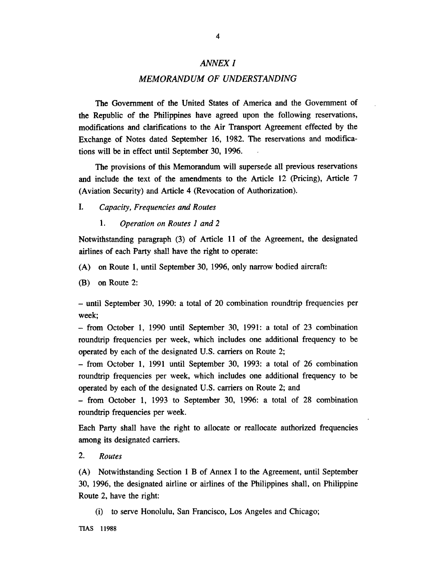#### **ANNEX I**

#### **MEMORANDUM OF UNDERSTANDING**

The Government of the United States of America and the Government of the Republic of the Philippines have agreed upon the following reservations, modifications and clarifications to the Air Transport Agreement effected by the Exchange of Notes dated September 16, 1982. The reservations and modifications will be in effect until September 30, 1996. .

The provisions of this Memorandum will supersede all previous reservations and include the text of the amendments to the Article 12 (Pricing), Article 7 (Aviation Security) **and** Article 4 (Revocation of Authorization).

- *I. Capacity, Frequencies and Routes* 
	- 1. *Operation on Routes 1 and 2*

Notwithstanding paragraph (3) of Article 11 of the Agreement, the designated airlines of each Party shall have the right to operate:

- (A) on Route 1, until September 30, 1996, only narrow bodied aircraft:
- (B) on Route 2:

- until September 30, 1990: a total of 20 combination roundtrip frequencies per week;

- from October 1, 1990 until September 30, 1991: a total of 23 combination roundtrip frequencies per week, which includes one additional frequency to be operated by each of the designated U.S. carriers on Route 2;

- from October 1, 1991 until September 30, 1993: a total of 26 combination roundtrip frequencies per week, which includes one additional frequency to be operated by each of the designated U.S. carriers on Route 2; and

- from October 1, 1993 to September 30, 1996: a total of 28 combination roundtrip frequencies per week.

Each Party shall have the right to allocate or reallocate authorized frequencies among its designated carriers.

*2. Routes* 

(A) Notwithstanding Section 1 B of Annex I to the Agreement, until September 30, 1996, the designated airline or airlines of the Philippines shall, on Philippine Route 2, have the right:

(i) to serve Honolulu, **San** Francisco, Los Angeles and Chicago;

**TIAS** 11988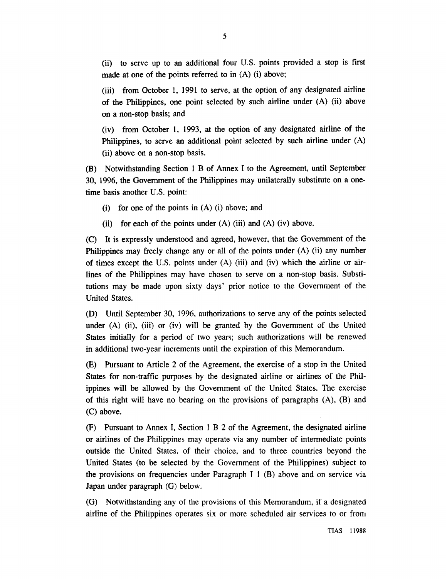(ii) to serve up to an additional four U.S. points provided a stop is first made at one of the points referred to in (A) (i) above;

(iii) from October 1, 1991 to serve, at the option of any designated airline of the Philippines, one point selected by such airline under (A) (ii) above on a non-stop basis; and

(iv) from October 1, 1993, at the option of any designated airline of the Philippines, to serve an additional point selected by such airline under (A) (ii) above on a non-stop basis.

(B) Notwithstanding Section **1 R** of Annex I to the Agreement, until September 30, 1996, the Government of the Philippines may unilaterally substitute on a onetime basis another U.S. point:

- (i) for one of the points in (A) (i) above; and
- (ii) for each of the points under  $(A)$  (iii) and  $(A)$  (iv) above.

(C) It is expressly understood and agreed, however, that the Government of the Philippines may freely change any or all of the points under (A) (ii) any number of times except the U.S. points under  $(A)$  (iii) and (iv) which the airline or airlines of the Philippines may have chosen to serve on a non-stop basis. Substitutions may be made upon sixty days' prior notice to the Government of the United States.

**(D)** Until September 30, 1996, authorizations to serve any of the points selected under (A) (ii), (iii) or (iv) will be granted by the Government of the United States initially for a period of two years; such authorizations will be renewed in additional two-year increments until the expiration of this Memorandum.

(E) Pursuant to Article 2 of the Agreement, the exercise of a stop in the United States for non-traffic purposes by the designated airline or airlines of the Philippines will be allowed by the Government of the United States. The exercise of this right will have no bearing on the provisions of paragraphs (A), (B) and (C) above.

(F) Pursuant to Annex I, Section 1 B 2 of the Agreement, the designated airline or airlines of the Philippines may operate via any number of intermediate points outside the United States, of their choice, and to three countries beyond the United States (to be selected by the Government of the Philippines) subject to the provisions on frequencies under Paragraph I 1 (B) above and on service via Japan under paragraph (G) below.

(G) Notwithstanding any of the provisions of this Memorandum, if a designated airline of the Philippines operates six or more scheduled air services to or froin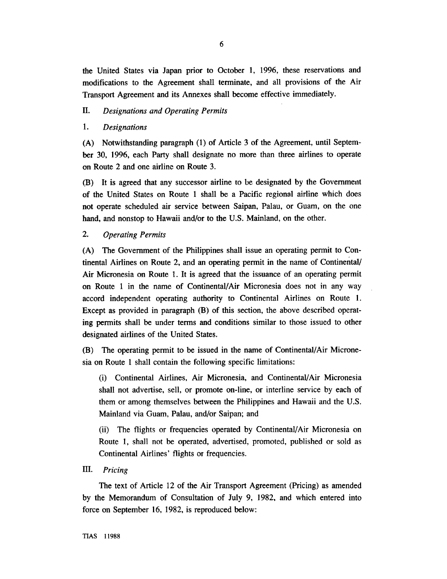the United States via Japan prior to October 1, 1996, these reservations and modifications to the Agreement shall terminate, and all provisions of the Air Transport Agreement and its Annexes shall become effective immediately.

#### **11.** *Designations and Operating Permits*

#### 1. *Designations*

(A) Notwithstanding paragraph (1) of Article 3 of the Agreement, until September 30, 1996, each Party shall designate no more than three airlines to operate on Route 2 and one airline on Route 3.

(B) It is agreed that any successor airline to be designated by the Governmerit of the United States on Route 1 shall be a Pacific regional airline which does not operate scheduled air service between Saipan, Palau, or Guam, on the one hand, and nonstop to Hawaii and/or to the U.S. Mainland, on the other.

#### *2. Operating Permits*

(A) The Government of the Philippines shall issue an operating permit to Continental Airlines on Route 2, and an operating permit in the name of Continental Air Micronesia on Route 1. It is agreed that the issuance of an operating permit on Route 1 in the name of Continental/Air Micronesia does not in any way accord independent operating authority to Continental Airlines on Route 1. Except as provided in paragraph (B) of this section, the above described operating permits shall be under terms and conditions similar to those issued to other designated airlines of the United States.

(B) The operating permit to be issued in the name of Continental/Air Micronesia on Route 1 shall contain the following specific limitations:

(i) Continental Airlines, Air Micronesia, and Continental/Air Micronesia shall not advertise, sell, or promote on-line, or interline service by each of them or among themselves between the Philippines and Hawaii and the U.S. Mainland via Guam, Palau, and/or Saipan; and

(ii) The flights or frequencies operated by Continental/Air Micronesia on Route 1, shall not be operated, advertised, promoted, published or sold as Continental Airlines' flights or frequencies.

#### 111. *Pricing*

The text of Article 12 of the Air Transport Agreement (Pricing) as amended by the Memorandum of Consultation of July 9, 1982, and which entered into force on September 16, 1982, is reproduced below: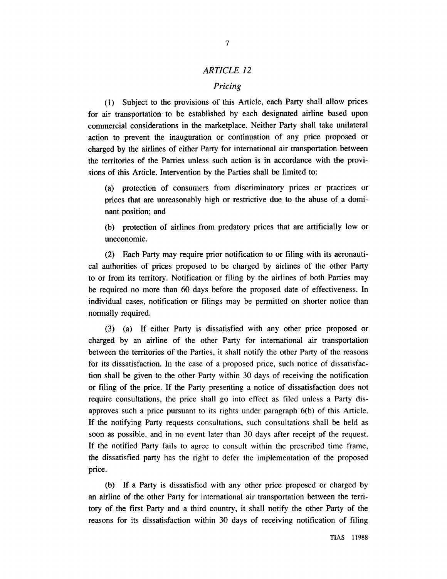#### *ARTICLE 12*

#### *Pricing*

(I) Subject to the provisions of this Article, each Party shall allow prices for air transportation. to be established by each designated airline based upon commercial considerations in the marketplace. Neither Party shall take unilateral action to prevent the inauguration or continuation of any price proposed or charged by the airlines of either Party for international air transportation between the territories of the Parties unless such action is in accordance with the provisions of this Article. Intervention by the Parties shall be limited to:

(a) protection of consumers from discriminatory prices or practices or prices that are unreasonably high or restrictive due to the abuse of a dominant position; and

(b) protection of airlines from predatory prices that are artificially low or uneconomic.

(2) Each Party may require prior notification to or filing with its aeronautical authorities of prices proposed to be charged by airlines of the other Party to or from its territory. Notification or filing by the airlines of both Parties may be required no more than 60 days before the proposed date of effectiveness. In individual cases, notification or filings may be permitted on shorter notice than normally required.

(3) (a) If either Party is dissatisfied with any other price proposed or charged by an airline of the other Party for international air transportation between the territories of the Parties, it shall notify the other Party of the reasons for its dissatisfaction. In the case of a proposed price, such notice of dissatisfaction shall be given to the other Party within 30 days of receiving the notification or filing of the price. If the Party preseriting a notice of dissatisfaction does not require consultations, the price shall go into effect as filed unless a Party disapproves such a price pursuant to its rights under paragraph 6(b) of this Article. If the notifying Party requests consultations, such consultations shall be held as soon as possible, and in no event later than 30 days after receipt of the request. If the notified Party fails to agree to consult within the prescribed time frame, the dissatisfied party has the right to defer the implementation of the proposed price.

(b) If a Party is dissatisfied with any other price proposed or charged by an airline of the other Party for international air transportation between the territory of the first Party and a third country, it shall notify the other Party of the reasons for its dissatisfaction within 30 days of receiving notification of filing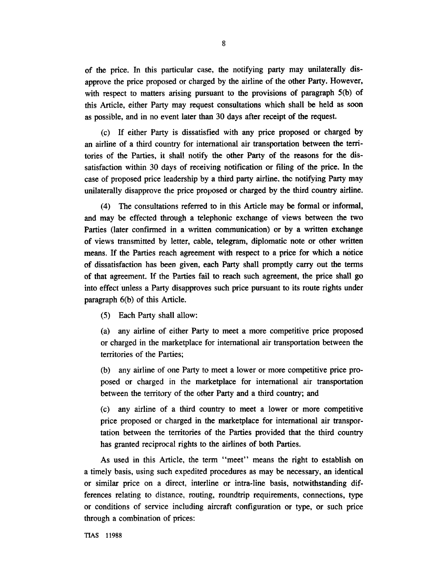of the price. In this particular case, the notifying party may unilaterally disapprove the price proposed or charged by the airline of the other Party. However, with respect to matters arising pursuant to the provisions of paragraph 5(b) of this Article, either Party may request consultations which shall be held as soon as possible, and in no event later than 30 days after receipt of the request.

(c) If either Party is dissatisfied with any price proposed or charged by an airline of a third country for international air transportation between the territories of the Parties, it shal! notify the other Party of the reasons for the dissatisfaction within 30 days of receiving notification or filing of the price. In the case of proposed price leadership by a third party airline. the notifying Party may unilaterally disapprove the price proposed or charged by the third country airline.

(4) The consultations referred to in this Article may be formal or informal, and may be effected through a telephonic exchange of views between the two Parties (later confirmed in a written communication) or by a written exchange of views transmitted by letter, cable, telegram, diplomatic note or other written means. If the Parties reach agreement with respect to a price for which a notice of dissatisfaction has been given, each Party shall promptly carry out the terms of that agreement. If the Parties fail to reach such agreement, the price shall go into effect unless a Party disapproves such price pursuant to its route rights under paragraph 6(b) of this Article.

(5) Each Party shall allow:

(a) any airline of either Party to meet a more competitive price proposed or charged in the marketplace for international air transportation between the territories of the Parties;

(b) any airline of one Party to meet a lower or more competitive price proposed or charged in the marketplace for international air transportation between the territory of the other Party and a third country; and

(c) any airline of a third country to meet a lower or more competitive price proposed or charged in the marketplace for international air transportation between the territories of the Parties provided that the third country has granted reciprocal rights to the airlines of both Parties.

As used in this Article, the term "meet" means the right to establish on a timely basis, using such expedited procedures as may be necessary, an identical or similar price on a direct, interline or intra-line basis, notwithstanding differences relating to distance, routing, roundtrip requirements, connections, type or conditions of service including aircraft configuration or type, or such price through a combination of prices:

**TIAS** 11988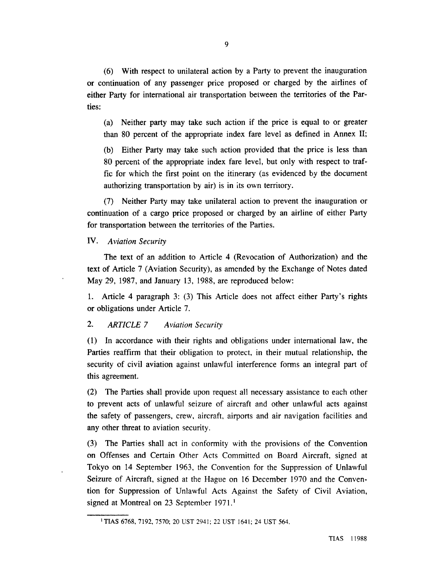*(6)* With respect to unilateral action by a Party to prevent the inauguration or continuation of any passenger price proposed or charged by the airlines of either Party for international air transportation between the territories of the Parties:

(a) Neither party may take such action if the price is equal to or greater than 80 percent of the appropriate index fare level as defined in Annex 11;

(b) Either Party may take such action provided that the price is less than 80 percent of the appropriate index fare level, but only with respect to traffic for which the first point on the itinerary (2s evidenced **by** the document authorizing transportation by air) is in its own territory.

(7) Neither Party may take unilateral action to prevent the inauguration or continuation of a cargo price proposed or charged by an airline of either Party for transportation between the territories of the Parties.

**IV.** *Aviation Security* 

The text of an addition to Article 4 (Revocation of Authorization) and the text of Article 7 (Aviation Security), as amended by the Exchange of Notes dated May 29, 1987, and January 13, 1988, are reproduced below:

1. Article 4 paragraph 3: (3) This Article does not affect either Party's rights or obligations under Article 7.

#### **2.** *ARTICLE 7 Aviation Security*

(1) In accordance with their rights and obligations under international law, the Parties reaffirm that their obligation to protect, in their mutual relationship, the security of civil aviation against unlawful interference forms an integral part of this agreement.

(2) The Parties shall provide upon request all necessary assistance to each other to prevent acts of unlawful seizure of aircraft and other unlawful acts against the safety of passengers, crew, aircraft, airports and air navigation facilities and any other threat to aviation security.

(3) The Parties shall act in conformity with the provisions of the Convention on Offenses and Certain Other Acts Committed on Board Aircraft, signed at Tokyo on 14 September 1963, the Convention for the Suppression of Unlawful Seizure of Aircraft, signed at the Hague on 16 December 1970 and the Convention for Suppression of Unlawful Acts Against the Safety of Civil Aviation, signed at Montreal on 23 September 1971.<sup>1</sup>

TIAS **6768,** 7192, **7570; 20** UST 294 1 ; 22 UST 1641; 24 UST 564.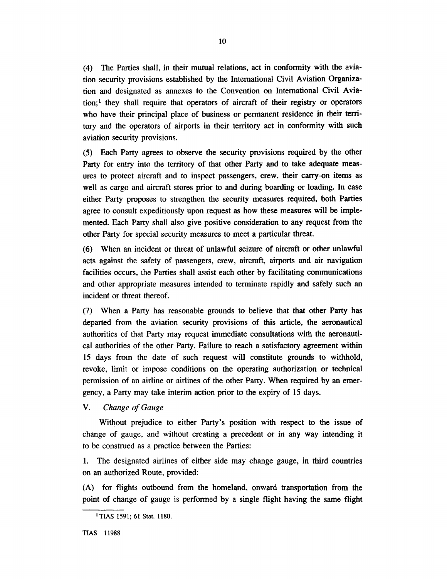(4) The Parties shall, in their mutual relations, act in conformity with the aviation security provisions established by the International Civil Aviation Organization and designated as annexes to the Convention on International Civil Aviation;' they shall require that operators of aircraft of their registry or operators who have their principal place of business or permanent residence in their territory and the operators of airports in their territory act in conformity with such aviation security provisions.

(5) Each Party agrees to observe the security provisions required by the other Party for entry into the territory of that other Party and to take adequate measures to protect aircraft and to inspect passengers, crew, their carry-on items as well as cargo and aircraft stores prior to and during boarding or loading. In case either Party proposes to strengthen the security measures required, both Parties agree to consult expeditiously upon request as how these measures will be implemented. Each Party shall also give positive consideration to any request from the other Party for special security measures to meet a particular threat.

(6) When an incident or threat of unlawful seizure of aircraft or other unlawful acts against the safety of passengers, crew, aircraft, airports and air navigation facilities occurs, the Parties shall assist each other by facilitating communications and other appropriate measures intended to terminate rapidly and safely such an incident or threat thereof.

(7) When a Party has reasonable grounds to believe that that other Party has departed from the aviation security provisions of this article, the aeronautical authorities of that Party may request immediate consultations with the aeronautical authorities of the other Party. Failure to reach a satisfactory agreement within 15 days from the date of such request will constitute grounds to withhold, revoke, limit or impose conditions on the operating authorization or technical permission of an airline or airlines of the other Party. When required by an emergency, a Party may take interim action prior to the expiry of 15 days.

*V. Change of Gauge* 

Without prejudice to either Party's position with respect to the issue of change of gauge, and without creating a precedent or in any way intending it to be construed as a practice between the Parties:

1. The designated airlines of either side may change gauge, in third countries on an authorized Route, provided:

(A) for flights outbound from the homeland, onward transportation from the point of change of gauge is performed by a single flight having the same flight

**<sup>&#</sup>x27;TIAS 1591; 61 Stat. 1180.**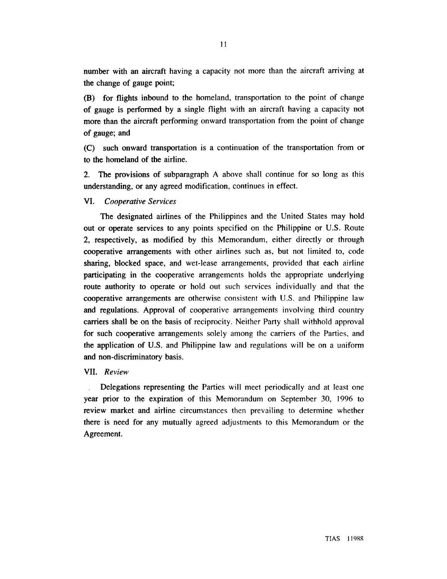number with an aircraft having a capacity not more than the aircraft arriving at the change of gauge point;

(B) for flights inbound to the homeland, transportation to the point of change of gauge is performed by a single flight with an aircraft having a capacity not more than the aircraft performing onward transportation from the point of change of gauge; and

**(C)** such onward transportation is a continuation of the transportation from or to the homeland of the airline.

**2.** The provisions of subparagraph A above shall continue for so long as this understanding, or any agreed modification, continues in effect.

#### *VI. Cooperative Services*

The designated airlines of the Philippines and the United States may hold out or operate services to any points specified on the Philippine or U.S. Route 2, respectively, as modified by this Memorandum, either directly or through cooperative arrangements with other airlines such as, but not limited to, code sharing, blocked space, and wet-lease arrangements, provided that each airline participating in the cooperative arrangements holds the appropriate underlying route authority to operate or hold out such services individually and that the cooperative arrangements are otherwise consistent with U.S. and Philippine law and regulations. Approval of cooperative arrangements involving third country carriers shall be on the basis of reciprocity. Neither Party shall withhold approval for such cooperative arrangements solely among the carriers of the Parties. and the application of U.S. and Philippine law and regulations will be on a uniform and non-discriminatory basis.

#### *VII. Review*

, Delegations representing the Parties will meet periodically and at least one year prior to the expiration of this Memorandum on September 30, 1996 to review market and airline circumstances then prevailing to determine whether there is need for any mutually agreed adjustments to this Memorandum or the Agreement.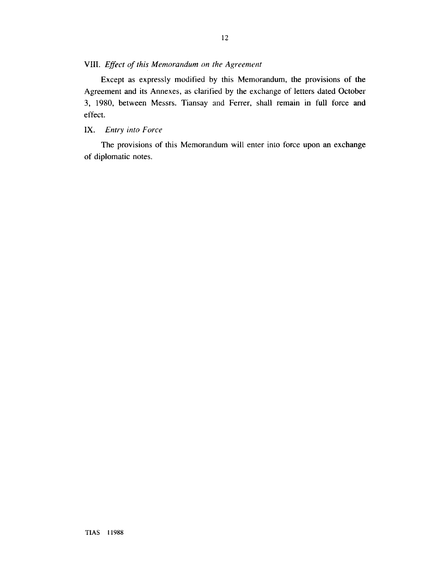#### *VIII. Effect of this Memorandum on the Agreement*

**Except as expressly modified by this Memorandum, the provisions of the Agreement and its Annexes, as clarified by the exchange of letters dated October 3, 1980, between Messrs. Tiansay and Ferrer, shall remain in full force and effect.** 

#### **1X.** *Entry into Force*

**The provisions of this Memorandum will enter into force upon an exchange of diplomatic notes.**